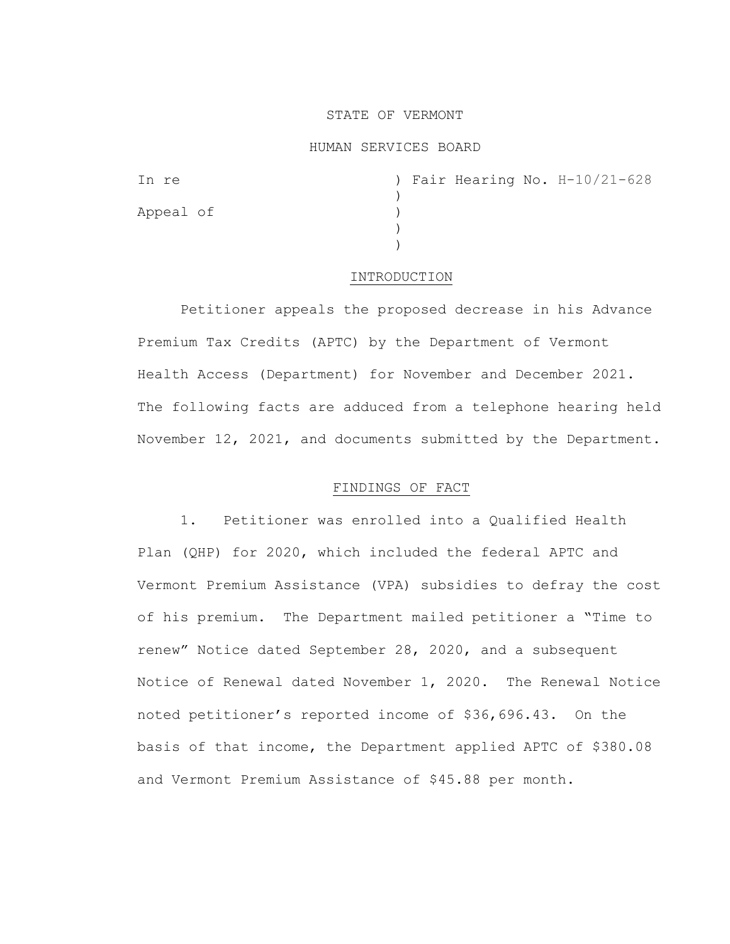# STATE OF VERMONT

### HUMAN SERVICES BOARD

| In re     |  |  | ) Fair Hearing No. H-10/21-628 |
|-----------|--|--|--------------------------------|
|           |  |  |                                |
| Appeal of |  |  |                                |
|           |  |  |                                |
|           |  |  |                                |

#### INTRODUCTION

Petitioner appeals the proposed decrease in his Advance Premium Tax Credits (APTC) by the Department of Vermont Health Access (Department) for November and December 2021. The following facts are adduced from a telephone hearing held November 12, 2021, and documents submitted by the Department.

### FINDINGS OF FACT

1. Petitioner was enrolled into a Qualified Health Plan (QHP) for 2020, which included the federal APTC and Vermont Premium Assistance (VPA) subsidies to defray the cost of his premium. The Department mailed petitioner a "Time to renew" Notice dated September 28, 2020, and a subsequent Notice of Renewal dated November 1, 2020. The Renewal Notice noted petitioner's reported income of \$36,696.43. On the basis of that income, the Department applied APTC of \$380.08 and Vermont Premium Assistance of \$45.88 per month.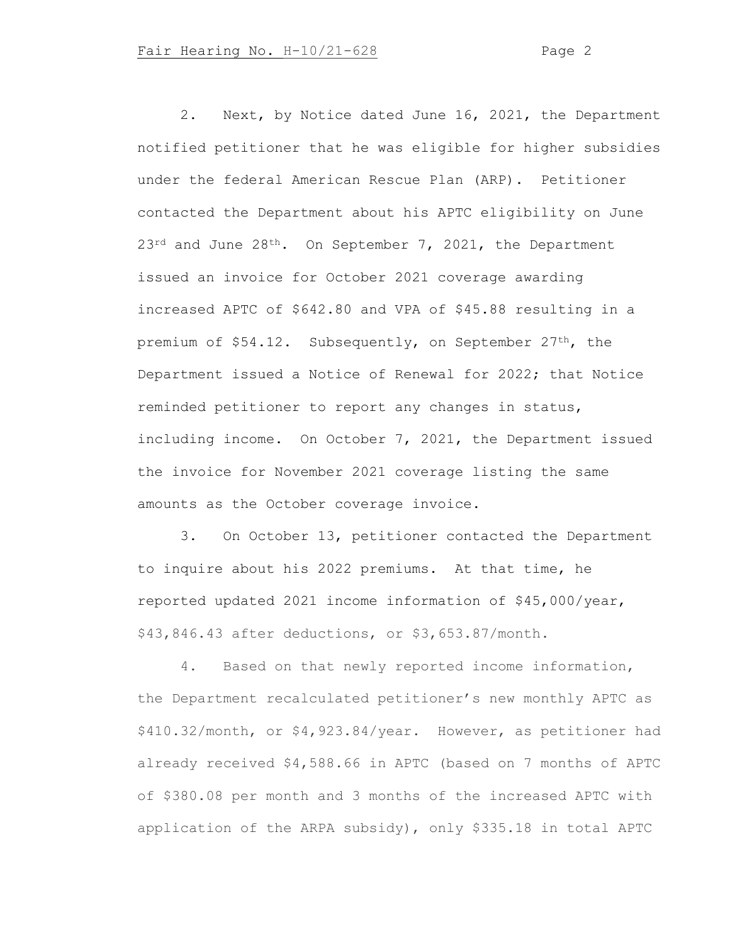2. Next, by Notice dated June 16, 2021, the Department notified petitioner that he was eligible for higher subsidies under the federal American Rescue Plan (ARP). Petitioner contacted the Department about his APTC eligibility on June 23<sup>rd</sup> and June 28<sup>th</sup>. On September 7, 2021, the Department issued an invoice for October 2021 coverage awarding increased APTC of \$642.80 and VPA of \$45.88 resulting in a premium of \$54.12. Subsequently, on September 27th, the Department issued a Notice of Renewal for 2022; that Notice reminded petitioner to report any changes in status, including income. On October 7, 2021, the Department issued the invoice for November 2021 coverage listing the same amounts as the October coverage invoice.

3. On October 13, petitioner contacted the Department to inquire about his 2022 premiums. At that time, he reported updated 2021 income information of \$45,000/year, \$43,846.43 after deductions, or \$3,653.87/month.

4. Based on that newly reported income information, the Department recalculated petitioner's new monthly APTC as \$410.32/month, or \$4,923.84/year. However, as petitioner had already received \$4,588.66 in APTC (based on 7 months of APTC of \$380.08 per month and 3 months of the increased APTC with application of the ARPA subsidy), only \$335.18 in total APTC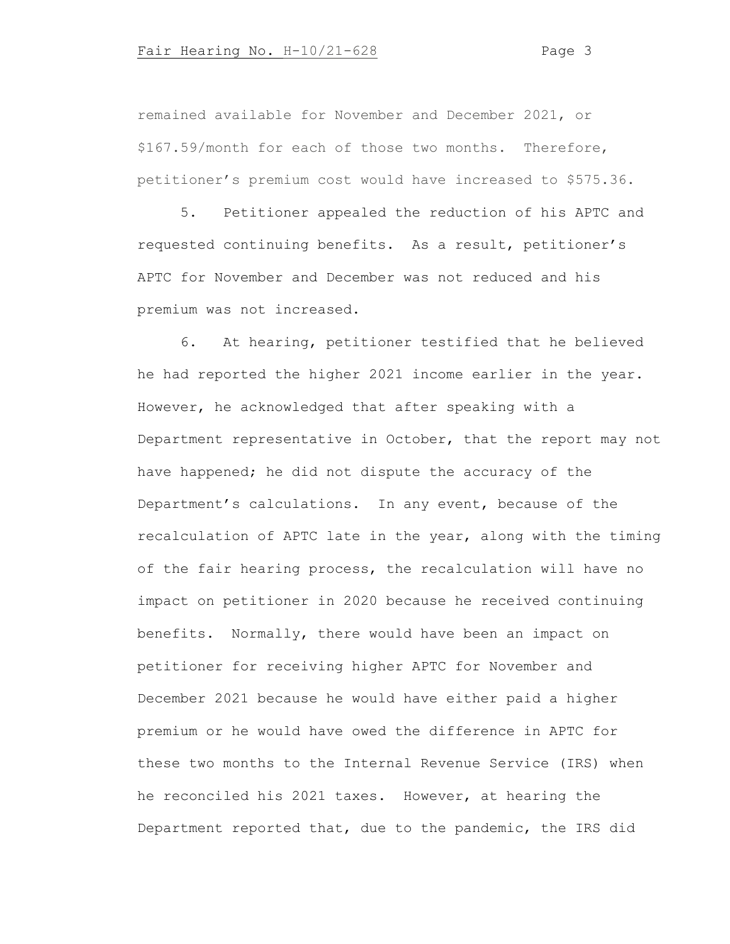remained available for November and December 2021, or \$167.59/month for each of those two months. Therefore, petitioner's premium cost would have increased to \$575.36.

5. Petitioner appealed the reduction of his APTC and requested continuing benefits. As a result, petitioner's APTC for November and December was not reduced and his premium was not increased.

6. At hearing, petitioner testified that he believed he had reported the higher 2021 income earlier in the year. However, he acknowledged that after speaking with a Department representative in October, that the report may not have happened; he did not dispute the accuracy of the Department's calculations. In any event, because of the recalculation of APTC late in the year, along with the timing of the fair hearing process, the recalculation will have no impact on petitioner in 2020 because he received continuing benefits. Normally, there would have been an impact on petitioner for receiving higher APTC for November and December 2021 because he would have either paid a higher premium or he would have owed the difference in APTC for these two months to the Internal Revenue Service (IRS) when he reconciled his 2021 taxes. However, at hearing the Department reported that, due to the pandemic, the IRS did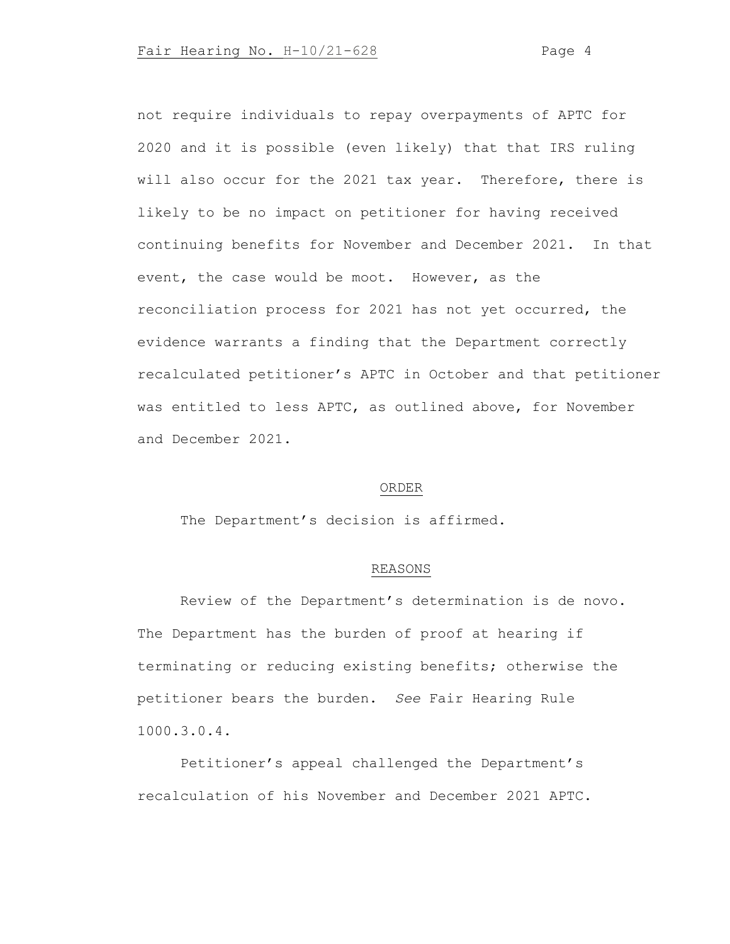not require individuals to repay overpayments of APTC for 2020 and it is possible (even likely) that that IRS ruling will also occur for the 2021 tax year. Therefore, there is likely to be no impact on petitioner for having received continuing benefits for November and December 2021. In that event, the case would be moot. However, as the reconciliation process for 2021 has not yet occurred, the evidence warrants a finding that the Department correctly recalculated petitioner's APTC in October and that petitioner was entitled to less APTC, as outlined above, for November and December 2021.

#### ORDER

The Department's decision is affirmed.

## REASONS

Review of the Department's determination is de novo. The Department has the burden of proof at hearing if terminating or reducing existing benefits; otherwise the petitioner bears the burden. *See* Fair Hearing Rule 1000.3.0.4.

Petitioner's appeal challenged the Department's recalculation of his November and December 2021 APTC.